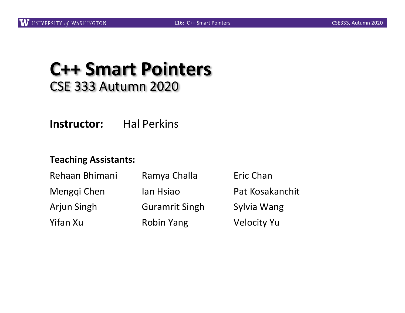#### **C++ Smart Pointers** CSE 333 Autumn 2020

**Instructor:** Hal Perkins

#### **Teaching Assistants:**

| Rehaan Bhimani<br>Menggi Chen | Ramya Challa<br>lan Hsiao | Eric Chan<br>Pat Kosakanchit |
|-------------------------------|---------------------------|------------------------------|
|                               |                           |                              |
| Yifan Xu                      | <b>Robin Yang</b>         | <b>Velocity Yu</b>           |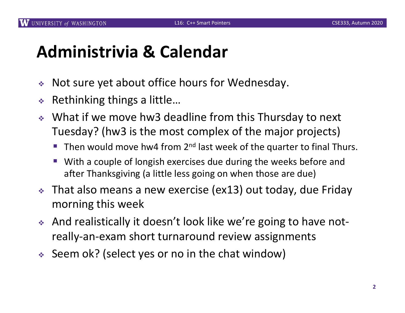#### **Administrivia & Calendar**

- $\triangleleft$  Not sure yet about office hours for Wednesday.
- $\triangle$  Rethinking things a little...
- ↓ What if we move hw3 deadline from this Thursday to next Tuesday? (hw3 is the most complex of the major projects)
	- **Then would move hw4 from 2<sup>nd</sup> last week of the quarter to final Thurs.**
	- With a couple of longish exercises due during the weeks before and after Thanksgiving (a little less going on when those are due)
- $\cdot$  That also means a new exercise (ex13) out today, due Friday morning this week
- And realistically it doesn't look like we're going to have notreally-an-exam short turnaround review assignments
- $\div$  Seem ok? (select yes or no in the chat window)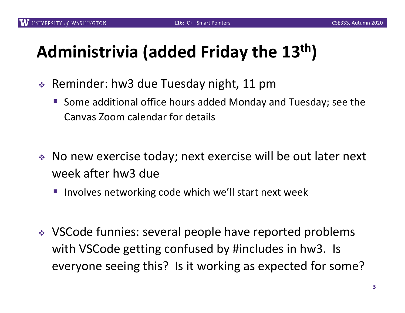# **Administrivia (added Friday the 13th)**

- $\div$  Reminder: hw3 due Tuesday night, 11 pm
	- § Some additional office hours added Monday and Tuesday; see the Canvas Zoom calendar for details
- $\bullet$  No new exercise today; next exercise will be out later next week after hw3 due
	- Involves networking code which we'll start next week
- VSCode funnies: several people have reported problems with VSCode getting confused by #includes in hw3. Is everyone seeing this? Is it working as expected for some?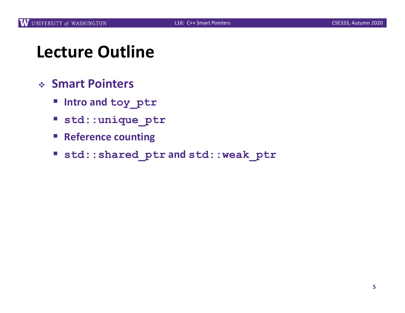#### **Lecture Outline**

- <sup>v</sup> **Smart Pointers**
	- § **Intro and toy\_ptr**
	- § **std::unique\_ptr**
	- § **Reference counting**
	- § **std::shared\_ptr and std::weak\_ptr**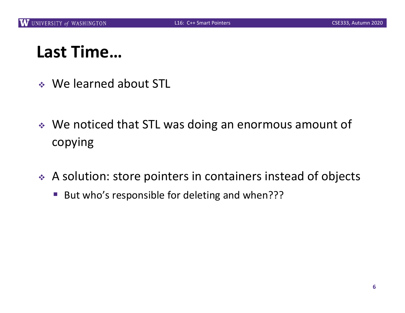## **Last Time…**

- <sup>v</sup> We learned about STL
- ↓ We noticed that STL was doing an enormous amount of copying
- $\triangle$  A solution: store pointers in containers instead of objects
	- But who's responsible for deleting and when???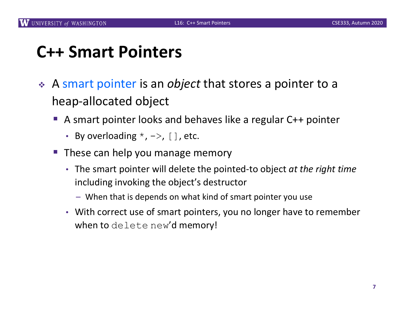#### **C++ Smart Pointers**

- <sup>v</sup> A smart pointer is an *object* that stores a pointer to a heap-allocated object
	- A smart pointer looks and behaves like a regular C++ pointer
		- By overloading  $*$ ,  $->$ , [], etc.
	- These can help you manage memory
		- The smart pointer will delete the pointed-to object *at the right time* including invoking the object's destructor
			- When that is depends on what kind of smart pointer you use
		- With correct use of smart pointers, you no longer have to remember when to delete new'd memory!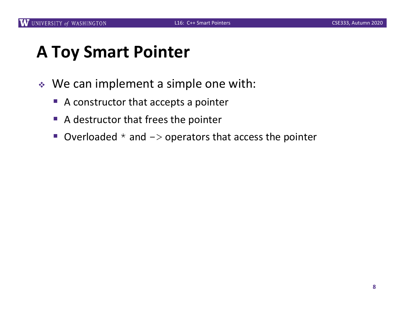#### **A Toy Smart Pointer**

- $\triangleleft$  We can implement a simple one with:
	- A constructor that accepts a pointer
	- A destructor that frees the pointer
	- Overloaded  $*$  and  $\rightarrow$  operators that access the pointer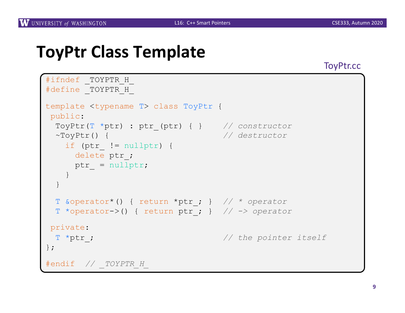#### **ToyPtr Class Template**

ToyPtr.cc

```
#ifndef TOYPTR H
#define _TOYPTR_H_
template <typename T> class ToyPtr {
public:
 ToyPtr(T *ptr) : ptr_(ptr) { } // constructor
 ~ToyPtr() { // destructor
   if (ptr_ != nullptr) {
     delete ptr_;
    ptr = nullptr;}
 }
 T &operator*() { return *ptr_; } // * operator
 T *operator->() { return ptr_; } // -> operator
private:
 T *ptr_; // the pointer itself
};
#endif // _TOYPTR_H_
```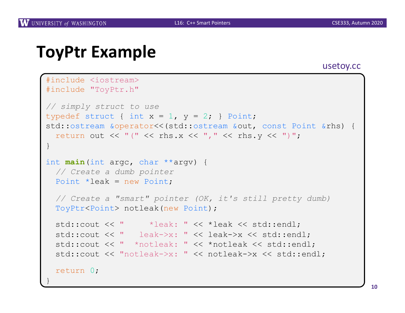#### **ToyPtr Example**

#### usetoy.cc

```
#include <iostream>
#include "ToyPtr.h"
// simply struct to use
typedef struct { int x = 1, y = 2; } Point;
std::ostream &operator<<(std::ostream &out, const Point &rhs) {
 return out \lt\lt "(" \lt\lt rhs.x \lt\lt "," \lt\lt rhs.y \lt\lt ")";
}
int main(int argc, char **argv) {
 // Create a dumb pointer
 Point *leak = new Point;
  // Create a "smart" pointer (OK, it's still pretty dumb)
  ToyPtr<Point> notleak(new Point);
  std::cout << " *leak: " << *leak << std::endl;
  std::cout << " leak->x: " << leak->x << std::endl;
  std::cout << " *notleak: " << *notleak << std::endl;
  std::cout << "notleak->x: " << notleak->x << std::endl;
  return 0;
}
```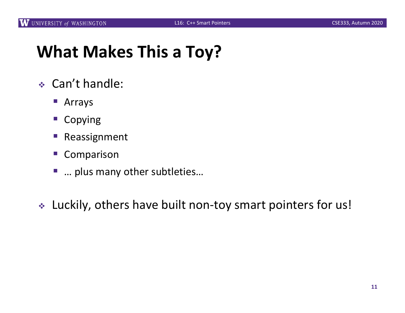#### **What Makes This a Toy?**

- <sup>v</sup> Can't handle:
	- Arrays
	- Copying
	- Reassignment
	- Comparison
	- § … plus many other subtleties…
- \* Luckily, others have built non-toy smart pointers for us!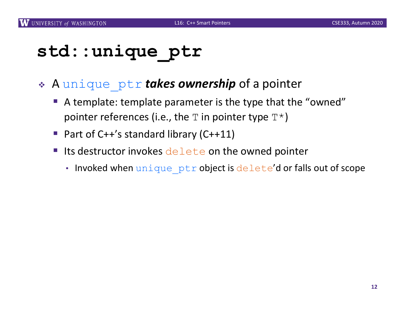#### **std::unique\_ptr**

#### <sup>v</sup> A unique\_ptr *takes ownership* of a pointer

- A template: template parameter is the type that the "owned" pointer references (i.e., the  $T$  in pointer type  $T^*$ )
- Part of C++'s standard library (C++11)
- Its destructor invokes delete on the owned pointer
	- Invoked when unique ptr object is delete'd or falls out of scope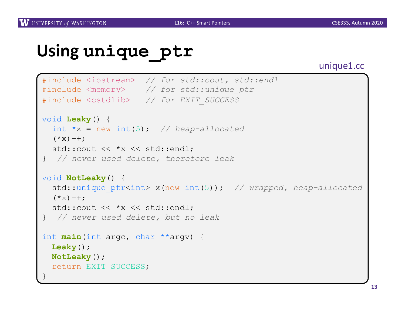#### **Using unique\_ptr**

#### unique1.cc

```
#include <iostream> // for std::cout, std::endl
#include <memory> // for std::unique_ptr
#include <cstdlib> // for EXIT_SUCCESS
void Leaky() {
  int *x = new int(5); // heap-allocated
  (*x)++;std:: cout << *x << std:: endl;
} // never used delete, therefore leak
void NotLeaky() {
  std::unique_ptr<int> x(new int(5)); // wrapped, heap-allocated
  (*x)++;std::cout << *x << std::endl;
} // never used delete, but no leak
int main(int argc, char **argv) {
  Leaky();
 NotLeaky();
  return EXIT_SUCCESS;
}
```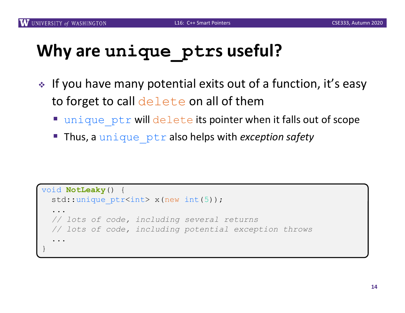# **Why are unique\_ptrs useful?**

- ↓ If you have many potential exits out of a function, it's easy to forget to call  $\text{delete}$  on all of them
	- **unique ptr will delete its pointer when it falls out of scope**
	- § Thus, a unique\_ptr also helps with *exception safety*

```
void NotLeaky() {
  std::unique ptr<int> x(new int(5));
  ... 
  // lots of code, including several returns
  // lots of code, including potential exception throws
  ...
}
```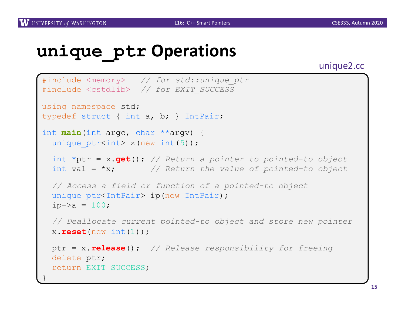#### **unique\_ptr Operations**

unique2.cc

```
#include <memory> // for std::unique_ptr
#include <cstdlib> // for EXIT_SUCCESS
using namespace std;
typedef struct { int a, b; } IntPair;
int main(int argc, char **argv) {
 unique ptr<int x(new int(5));
 int *ptr = x.get(); // Return a pointer to pointed-to object
 int val = *x; // Return the value of pointed-to object
 // Access a field or function of a pointed-to object
 unique ptr<IntPair> ip(new IntPair);
 ip - >a = 100;
 // Deallocate current pointed-to object and store new pointer
 x.reset(new int(1));
 ptr = x.release(); // Release responsibility for freeing
 delete ptr;
 return EXIT_SUCCESS;
}
```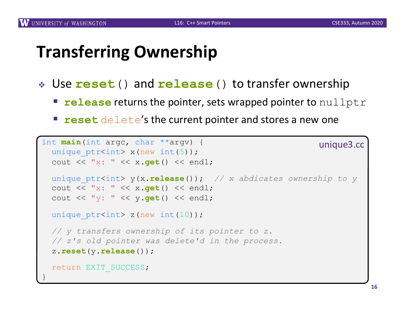#### **Transferring Ownership**

- <sup>v</sup> Use **reset**() and **release**() to transfer ownership
	- **release** returns the pointer, sets wrapped pointer to nullptr
	- **reset** delete's the current pointer and stores a new one

```
int main(int argc, char **argv) {
 unique ptr<int x(new int(5));
 cout << "x: " << x.get() << endl;
 unique_ptr<int> y(x.release()); // x abdicates ownership to y
 cout << "x: " << x.get() << endl;
 cout << "y: " << y.get() << endl;
 unique ptr<int> z(new int(10));
 // y transfers ownership of its pointer to z.
 // z's old pointer was delete'd in the process.
 z.reset(y.release());
 return EXIT_SUCCESS;
}
                                                         unique3.cc
```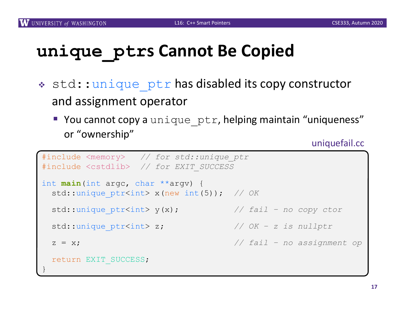# **unique\_ptrs Cannot Be Copied**

- \* std:: unique ptr has disabled its copy constructor and assignment operator
	- You cannot copy a unique ptr, helping maintain "uniqueness" or "ownership"

uniquefail.cc

```
#include <memory> // for std::unique_ptr
#include <cstdlib> // for EXIT_SUCCESS
int main(int argc, char **argv) {
 std::unique_ptr<int> x(new int(5)); // OK
 std::unique_ptr<int> y(x); // fail – no copy ctor
 std::unique_ptr<int> z; // OK – z is nullptr
 z = x; // fail – no assignment op
 return EXIT_SUCCESS;
}
```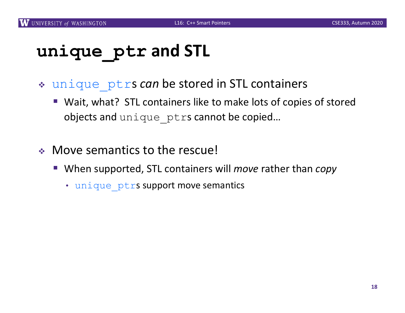# **unique\_ptr and STL**

- \* unique ptrs *can* be stored in STL containers
	- Wait, what? STL containers like to make lots of copies of stored objects and unique ptrs cannot be copied...
- $\cdot$  Move semantics to the rescue!
	- When supported, STL containers will *move* rather than *copy* 
		- unique ptrs support move semantics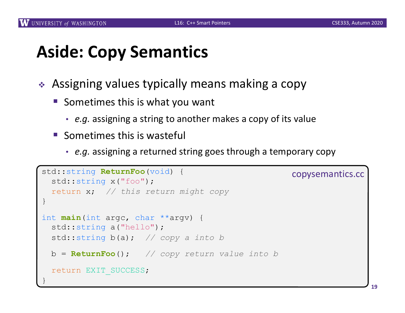#### **Aside: Copy Semantics**

- $\triangleleft$  Assigning values typically means making a copy
	- Sometimes this is what you want
		- *e.g.* assigning a string to another makes a copy of its value
	- $\blacksquare$  Sometimes this is wasteful
		- *e.g.* assigning a returned string goes through a temporary copy

```
std::string ReturnFoo(void) {
 std::string x("foo");
 return x; // this return might copy
}
int main(int argc, char **argv) {
 std::string a("hello");
 std::string b(a); // copy a into b
 b = ReturnFoo(); // copy return value into b
 return EXIT_SUCCESS;
}
                                                   copysemantics.cc
```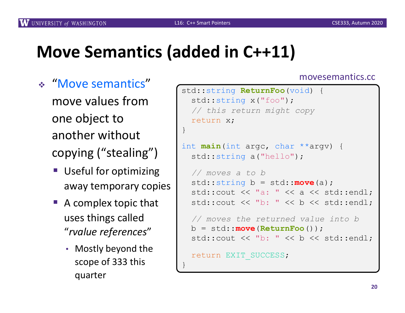#### **Move Semantics (added in C++11)**

- <sup>v</sup> "Move semantics" move values from one object to another without copying ("stealing")
	- Useful for optimizing away temporary copies
	- $\blacksquare$  A complex topic that uses things called "*rvalue references*"
		- Mostly beyond the scope of 333 this quarter

#### movesemantics.cc

```
std::string ReturnFoo(void) {
  std::string x("foo");
  // this return might copy
  return x;
}
int main(int argc, char **argv) {
  std::string a("hello");
  // moves a to b
  std::string b = std::move(a); 
  std::cout << "a: " << a << std::endl;
  std::cout \lt\lt "b: "\lt\lt b \lt\lt std::endl;
  // moves the returned value into b
 b = std::move(ReturnFoo());
  std::cout << "b: " << b << std::endl;
  return EXIT_SUCCESS;
}
```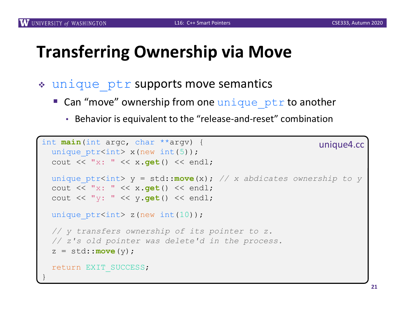#### **Transferring Ownership via Move**

- \* unique ptr supports move semantics
	- **Can "move" ownership from one unique ptr to another** 
		- Behavior is equivalent to the "release-and-reset" combination

```
int main(int argc, char **argv) {
 unique ptr<int x(new int(5));
 cout << "x: " << x.get() << endl;
 unique_ptr<int> y = std::move(x); // x abdicates ownership to y
 cout << "x: " << x.get() << endl;
 cout << "y: " << y.get() << endl;
 unique ptr<int> z(new int(10));
 // y transfers ownership of its pointer to z.
 // z's old pointer was delete'd in the process.
 z = std::move(y);
 return EXIT_SUCCESS;
}
                                                         unique4.cc
```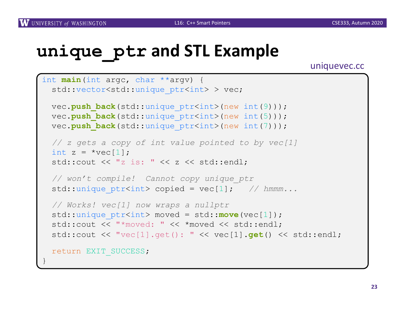## **unique\_ptr and STL Example**

uniquevec.cc

```
int main(int argc, char **argv) {
 std::vector<std::unique ptr<int> > vec;
 vec.push back(std::unique ptr<int>(new int(9)));
 vec.push back(std::unique ptr<int>(new int(5)));
 vec.push back(std::unique ptr<int>(new int(7)));
 // z gets a copy of int value pointed to by vec[1]
 int z = \text{``vec[1]};
 std::cout << "z is: " << z << std::endl;
 // won't compile! Cannot copy unique_ptr
 std::unique ptr<int> copied = vec[1]; // hmmm...
 // Works! vec[1] now wraps a nullptr
 std::unique ptr<int> moved = std::move(vec[1]);
 std::cout << "*moved: " << *moved << std::endl;
 std::cout << "vec[1].get(): " << vec[1].get() << std::endl;
 return EXIT SUCCESS;
}
```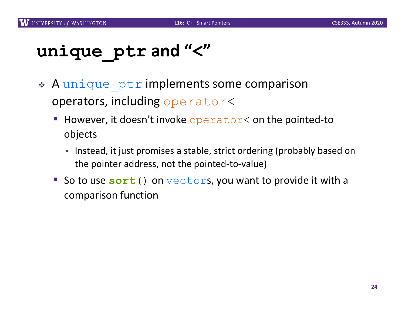# **unique\_ptr and "<"**

- \* A unique ptr implements some comparison operators, including operator<
	- **E** However, it doesn't invoke operator  $\leq$  on the pointed-to objects
		- Instead, it just promises a stable, strict ordering (probably based on the pointer address, not the pointed-to-value)
	- So to use sort() on vectors, you want to provide it with a comparison function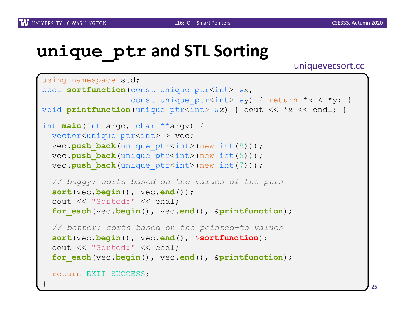}

## **unique\_ptr and STL Sorting**

uniquevecsort.cc

```
using namespace std;
bool sortfunction (const unique ptr<int> &x,
                  const unique ptr<int> \delta y) { return *x < *y; }
void printfunction (unique ptr<int> &x) { cout << *x << endl; }
int main(int argc, char **argv) {
  vector<unique ptr<int> > vec;
  vec.push back(unique ptr<int>(new int(9)));
  vec.push back (unique ptr<int>(new int(5)));
  vec.push back(unique ptr<int>(new int(7)));
  // buggy: sorts based on the values of the ptrs
  sort(vec.begin(), vec.end());
  cout << "Sorted:" << endl;
  for_each(vec.begin(), vec.end(), &printfunction);
  // better: sorts based on the pointed-to values
  sort(vec.begin(), vec.end(), &sortfunction);
  cout << "Sorted:" << endl;
  for_each(vec.begin(), vec.end(), &printfunction);
  return EXIT_SUCCESS;
```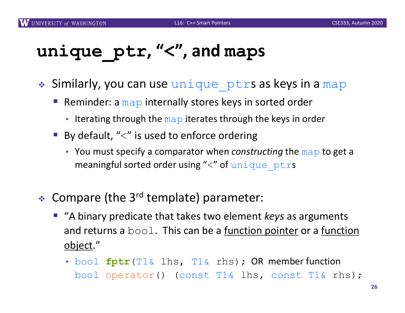# **unique\_ptr, "<", and maps**

- \* Similarly, you can use unique ptrs as keys in a map
	- Reminder: a  $map$  internally stores keys in sorted order
		- Iterating through the  $map$  iterates through the keys in order
	- By default, " $\lt'$ " is used to enforce ordering
		- You must specify a comparator when *constructing* the map to get a meaningful sorted order using " $\lt"$ " of unique ptrs
- $\div$  Compare (the 3<sup>rd</sup> template) parameter:
	- "A binary predicate that takes two element *keys* as arguments and returns a  $\text{bool}$ . This can be a <u>function pointer</u> or a <u>function</u> object."
		- bool **fptr**(T1& lhs, T1& rhs); OR member function bool operator() (const T1& lhs, const T1& rhs);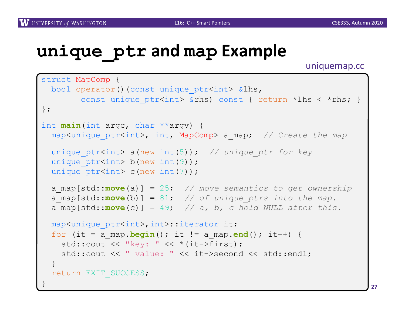#### **unique\_ptr and map Example**

uniquemap.cc

```
struct MapComp {
 bool operator()(const unique ptr<int> &lhs,
       const unique ptr<int> &rhs) const { return *lhs < *rhs; }
};
int main(int argc, char **argv) {
 map<unique_ptr<int>, int, MapComp> a_map; // Create the map
 unique_ptr<int> a(new int(5)); // unique_ptr for key
 unique ptr<int> b(new int(9));
 unique ptr<int> c(new int(7));
 a_map[std::move(a)] = 25; // move semantics to get ownership
  a map[std::move(b)] = 81; // of unique ptrs into the map.
 a map[std::move(c)] = 49; // a, b, c hold NULL after this.
 map<unique ptr<int>,int>::iterator it;
 for (it = a map.begin(); it != a map.end(); it++) {
    std::cout << "key: " << *(it->first);
   std::cout << " value: " << it->second << std::endl;
  }
 return EXIT_SUCCESS;
}
```
**27**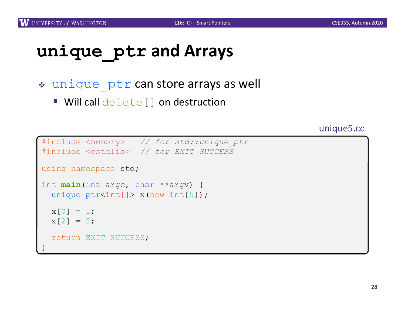# **unique\_ptr and Arrays**

- $\cdot$  unique ptr can store arrays as well
	- Will call delete [] on destruction

unique5.cc

```
#include <memory> // for std::unique_ptr
#include <cstdlib> // for EXIT_SUCCESS
using namespace std;
int main(int argc, char **argv) {
  unique ptr<int[]> x(new int[5]);
 x[0] = 1;x[2] = 2;return EXIT_SUCCESS;
}
```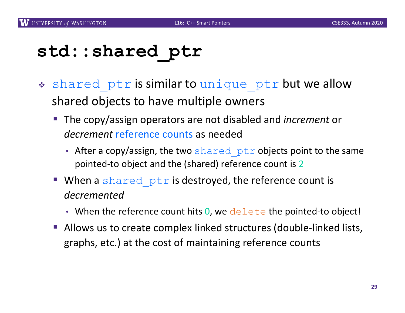#### **std::shared\_ptr**

- \* shared ptr is similar to unique ptr but we allow shared objects to have multiple owners
	- The copy/assign operators are not disabled and *increment* or *decrement* reference counts as needed
		- After a copy/assign, the two shared ptr objects point to the same pointed-to object and the (shared) reference count is 2
	- **When a** shared  $ptr$  is destroyed, the reference count is *decremented*
		- When the reference count hits  $0$ , we delete the pointed-to object!
	- Allows us to create complex linked structures (double-linked lists, graphs, etc.) at the cost of maintaining reference counts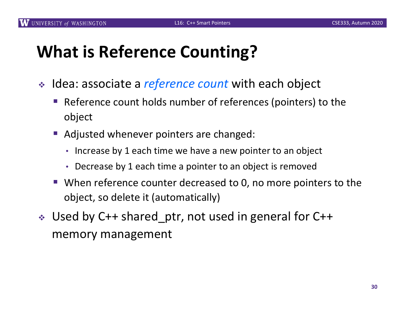## **What is Reference Counting?**

- **↓** Idea: associate a *reference count* with each object
	- Reference count holds number of references (pointers) to the object
	- Adjusted whenever pointers are changed:
		- Increase by 1 each time we have a new pointer to an object
		- Decrease by 1 each time a pointer to an object is removed
	- When reference counter decreased to 0, no more pointers to the object, so delete it (automatically)
- ↓ Used by C++ shared\_ptr, not used in general for C++ memory management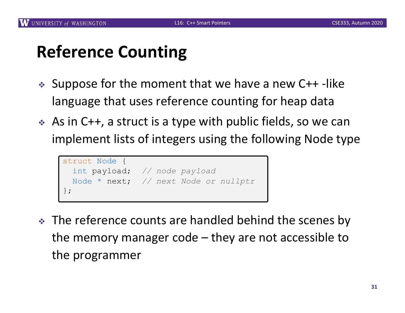#### **Reference Counting**

- $\div$  Suppose for the moment that we have a new C++-like language that uses reference counting for heap data
- $\leftrightarrow$  As in C++, a struct is a type with public fields, so we can implement lists of integers using the following Node type

```
struct Node {
 int payload; // node payload
 Node * next; // next Node or nullptr
};
```
 $\cdot$  The reference counts are handled behind the scenes by the memory manager code – they are not accessible to the programmer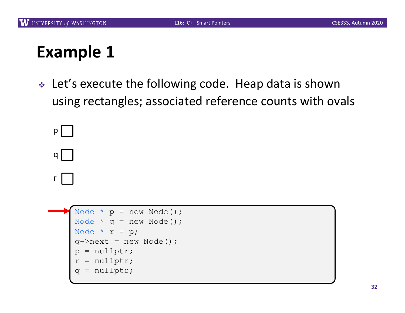

```
Node * p = new Node();
Node * q = new Node();
Node * r = p;
q->next = new Node();
p = nullptr;
r = nullptr;
q = nullptr;
```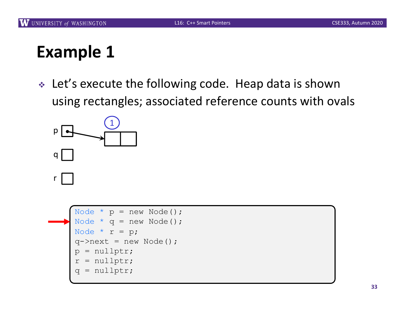

```
Node * p = new Node();
Node * q = new Node();
Node * r = p;
q->next = new Node();
p = nullptr;
r = nullptr;q = nullptr;
```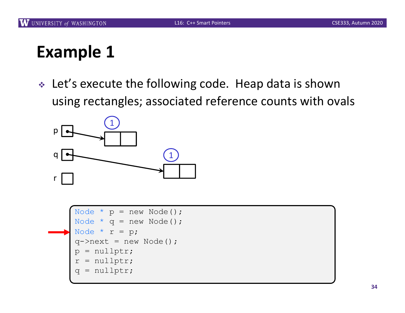

```
Node * p = new Node();
Node * q = new Node();
Node * r = p;
q->next = new Node();
p = nullptr;
r = nullptr;q = nullptr;
```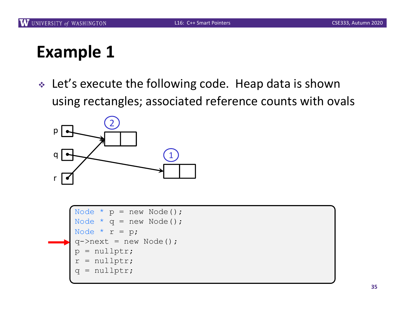

```
Node * p = new Node();
Node * q = new Node();
Node * r = p;
q->next = new Node();
p = nullptr;
r = nullptr;q = nullptr;
```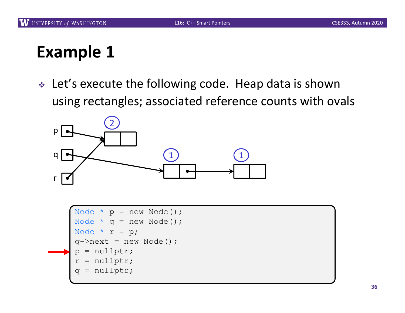

```
Node * p = new Node();
Node * q = new Node();
Node * r = p;
q->next = new Node();
p = nullptr;
r = nullptr;
q = nullptr;
```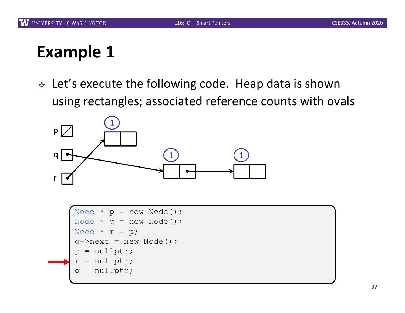

```
Node * p = new Node();
Node * q = new Node();
Node * r = p;
q->next = new Node();
p = nullptr;
r = nullptr;q = nullptr;
```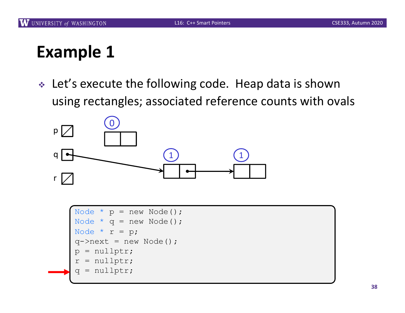

```
Node * p = new Node();
Node * q = new Node();
Node * r = p;q->next = new Node();
p = nullptr;
r = nullptr;q = nullptr;
```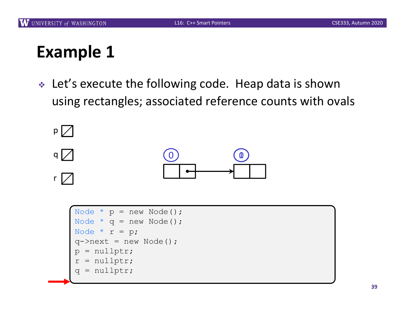

```
Node * p = new Node();
Node * q = new Node();
Node * r = p;
q->next = new Node();
p = nullptr;
r = nullptr;q = nullptr;
```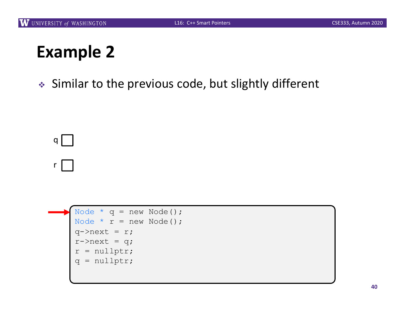◆ Similar to the previous code, but slightly different



r I

```
Node * q = new Node();
Node * r = new Node();
q->next = r;
r->next = q;
r = nullptr;
q = nullptr;
```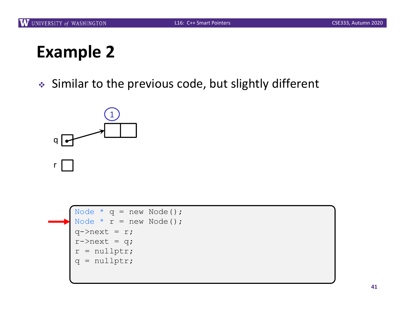

```
Node * q = new Node();
Node * r = new Node();
q->next = r;
r->next = q;
r = nullptr;
q = nullptr;
```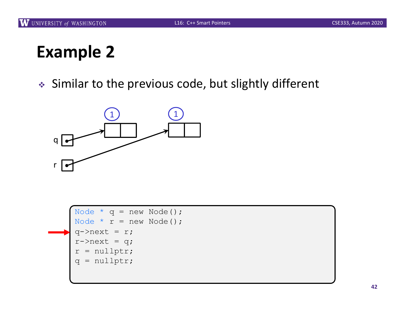

```
Node * q = new Node();
Node * r = new Node();
q->next = r;
r->next = q;
r = nullptr;
q = nullptr;
```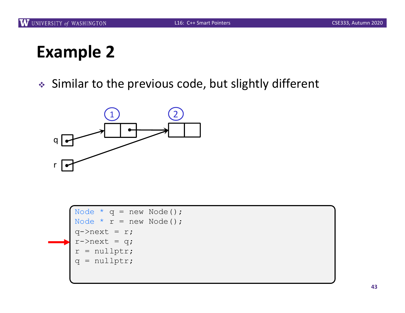

```
Node * q = new Node();
Node * r = new Node();
q->next = r;
r->next = q;
r = nullptr;q = nullptr;
```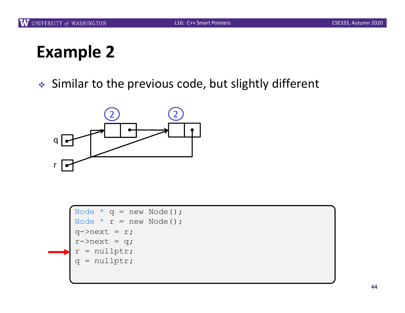

```
Node * q = new Node();
Node * r = new Node();
q->next = r;
r->next = q;
r = nullptr;q = nullptr;
```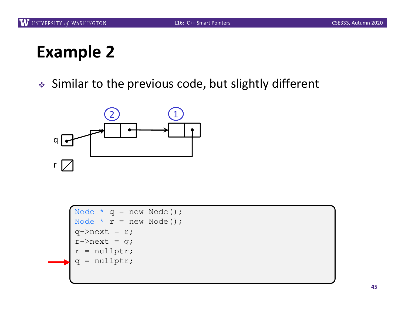

```
Node * q = new Node();
Node * r = new Node();
q->next = r;
r->next = q;
r = nullptr;
q = nullptr;
```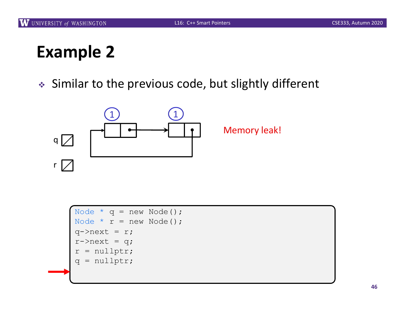

```
Node * q = new Node();
Node * r = new Node();
q->next = r;
r->next = q;
r = nullptr;
q = nullptr;
```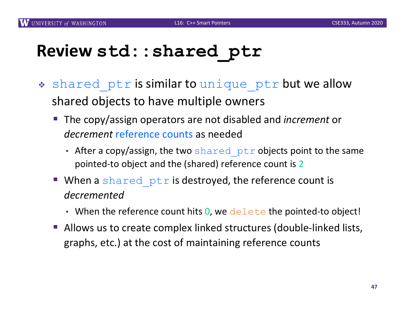#### **Review std::shared\_ptr**

- \* shared ptr is similar to unique ptr but we allow shared objects to have multiple owners
	- The copy/assign operators are not disabled and *increment* or *decrement* reference counts as needed
		- After a copy/assign, the two shared ptr objects point to the same pointed-to object and the (shared) reference count is 2
	- $\blacksquare$  When a shared ptr is destroyed, the reference count is *decremented*
		- When the reference count hits  $0$ , we delete the pointed-to object!
	- Allows us to create complex linked structures (double-linked lists, graphs, etc.) at the cost of maintaining reference counts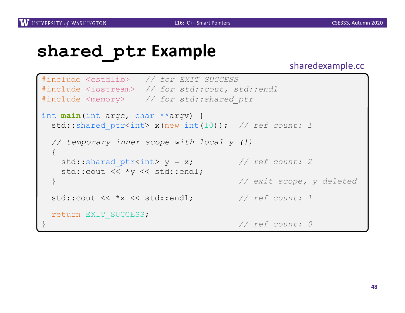#### **shared\_ptr Example**

#### sharedexample.cc

```
#include <cstdlib> // for EXIT_SUCCESS
#include <iostream> // for std::cout, std::endl
#include <memory> // for std::shared_ptr
int main(int argc, char **argv) {
 std::shared ptr<int> x(new int(10)); // ref count: 1
 // temporary inner scope with local y (!)
 { 
   std::shared ptr<int> y = x; // ref count: 2std:: cout << *v << std:: endl;
 } // exit scope, y deleted
 std::cout << *x << std::endl; // ref count: 1
 return EXIT_SUCCESS;
                                    } // ref count: 0
```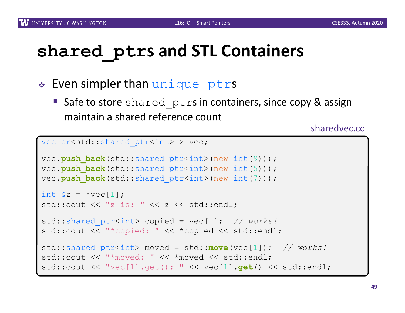# **shared\_ptrs and STL Containers**

- $\triangleleft$  Even simpler than unique ptrs
	- Safe to store shared ptrs in containers, since copy & assign maintain a shared reference count

sharedvec.cc

```
vector<std::shared ptr<int> > vec;
vec.push back(std::shared ptr<int>(new int(9)));
vec.push back(std::shared ptr<int>(new int(5)));
vec.push back(std::shared ptr<int>(new int(7)));
int \&z = \text{*vec}[1];std::cout << "z is: " << z << std::endl;
std::shared_ptr<int> copied = vec[1]; // works!
std::cout << "*copied: " << *copied << std::endl;
std::shared_ptr<int> moved = std::move(vec[1]); // works!
std::cout << "*moved: " << *moved << std::endl;
std::cout << "vec[1].get(): " << vec[1].get() << std::endl;
```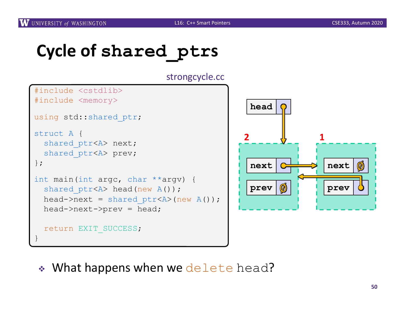#### **Cycle of shared\_ptrs**

strongcycle.cc

```
#include <cstdlib>
#include <memory>
using std::shared ptr;
struct A {
  shared ptr<A> next;
  shared ptr<A> prev;
};
int main(int argc, char **argv) {
  shared ptr<A> head(new A());
 head->next = shared ptr<A>(new A());
 head->next->prev = head;
  return EXIT_SUCCESS;
}
```


 $\cdot$  What happens when we delete head?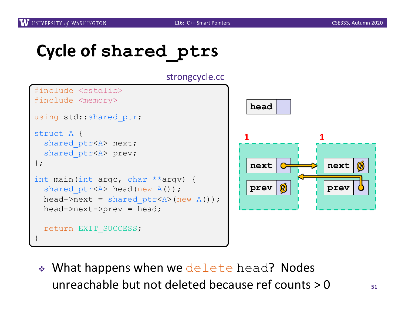## **Cycle of shared\_ptrs**

strongcycle.cc

```
#include <cstdlib>
#include <memory>
using std::shared ptr;
struct A {
  shared ptr<A> next;
  shared ptr<A> prev;
};
int main(int argc, char **argv) {
  shared ptr<A> head(new A());
 head->next = shared ptr<A>(new A());
 head->next->prev = head;
  return EXIT_SUCCESS;
}
```


 $\bullet$  What happens when we delete head? Nodes unreachable but not deleted because ref counts > 0 **<sup>51</sup>**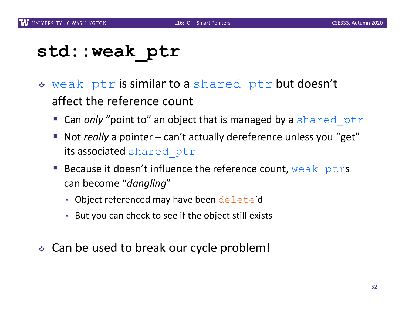#### **std::weak\_ptr**

- \* weak ptr is similar to a shared ptr but doesn't affect the reference count
	- Can *only* "point to" an object that is managed by a shared ptr
	- Not *really* a pointer can't actually dereference unless you "get" its associated shared ptr
	- **Because it doesn't influence the reference count, weak ptrs** can become "*dangling*"
		- Object referenced may have been delete'd
		- But you can check to see if the object still exists
- Can be used to break our cycle problem!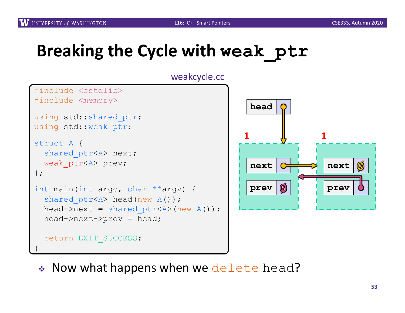# **Breaking the Cycle with weak\_ptr**





• Now what happens when we delete head?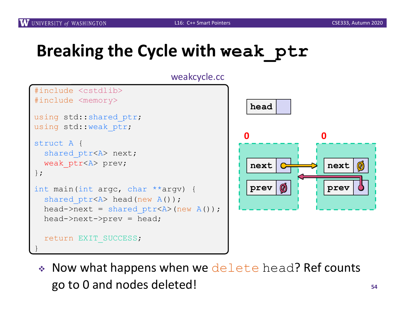# **Breaking the Cycle with weak\_ptr**





 $\bullet$  Now what happens when we delete head? Ref counts go to 0 and nodes deleted! **<sup>54</sup>**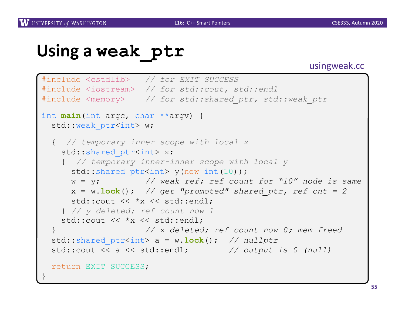## **Using a weak\_ptr**

#### usingweak.cc

```
#include <cstdlib> // for EXIT_SUCCESS
#include <iostream> // for std::cout, std::endl
#include <memory> // for std::shared_ptr, std::weak_ptr
int main(int argc, char **argv) {
 std::weak ptr<int> w;
 { // temporary inner scope with local x
   std:: shared ptr<int> x;
   { // temporary inner-inner scope with local y
     std::shared ptr<int> y(new int(10));
     w = y; // weak ref; ref count for "10" node is same
     x = w \cdot \text{lock} (); // get "promoted" shared ptr, ref cnt = 2
     std::cout << *x << std::endl;
   } // y deleted; ref count now 1
   std::cout << *x << std::endl;
                    } // x deleted; ref count now 0; mem freed
 std::shared_ptr<int> a = w.lock(); // nullptr
 std::cout << a << std::endl; // output is 0 (null)
 return EXIT_SUCCESS;
}
```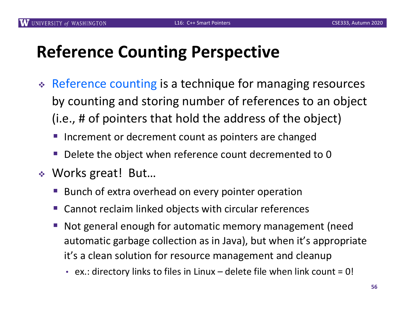#### **Reference Counting Perspective**

- \* Reference counting is a technique for managing resources by counting and storing number of references to an object (i.e., # of pointers that hold the address of the object)
	- Increment or decrement count as pointers are changed
	- Delete the object when reference count decremented to 0
- ◆ Works great! But...
	- § Bunch of extra overhead on every pointer operation
	- § Cannot reclaim linked objects with circular references
	- Not general enough for automatic memory management (need automatic garbage collection as in Java), but when it's appropriate it's a clean solution for resource management and cleanup
		- ex.: directory links to files in Linux delete file when link count =  $0!$